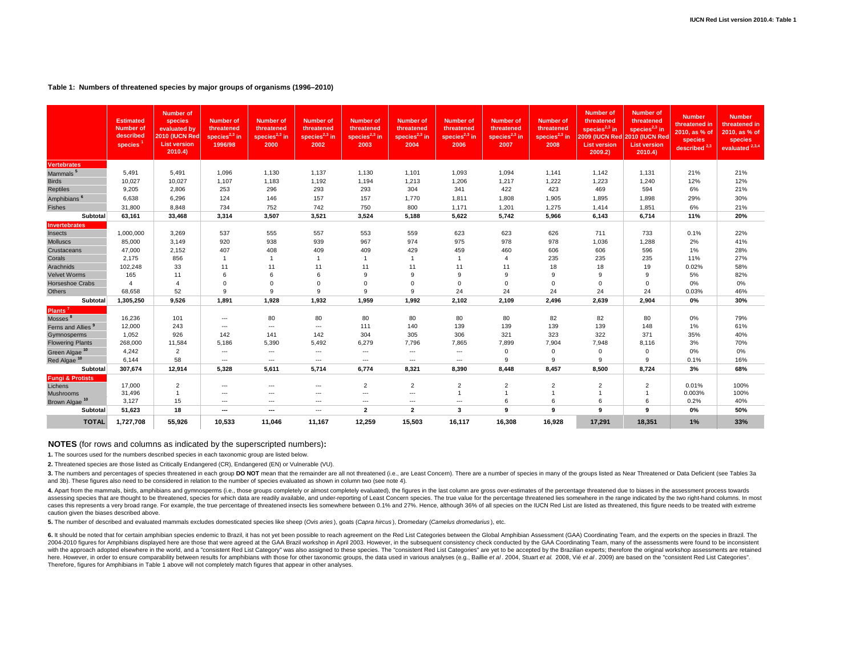# **Table 1: Numbers of threatened species by major groups of organisms (1996–2010)**

|                               | <b>Estimated</b><br><b>Number of</b><br>described<br>species | <b>Number of</b><br>species<br>evaluated by<br>2010 (IUCN Red<br><b>List version</b><br>2010.4) | <b>Number of</b><br>threatened<br>species $2,3$ in<br>1996/98 | <b>Number of</b><br>threatened<br>species $2,3$ in<br>2000 | <b>Number of</b><br>threatened<br>species $^{2,3}$ in<br>2002 | <b>Number of</b><br>threatened<br>species $^{2,3}$ in<br>2003 | <b>Number of</b><br>threatened<br>species $^{2,3}$ in<br>2004 | <b>Number of</b><br>threatened<br>species $2,3$ in<br>2006 | <b>Number of</b><br>threatened<br>species $2,3$ in<br>2007 | <b>Number of</b><br>threatened<br>species $2,3$ in<br>2008 | <b>Number of</b><br>threatened<br>species $^{2,3}$ in<br>2009 (IUCN Red 2010 (IUCN Red<br><b>List version</b><br>2009.2) | <b>Number of</b><br>threatened<br>species <sup>2,3</sup> in<br><b>List version</b><br>2010.4) | <b>Number</b><br>threatened in<br>2010. as % of<br>species<br>described <sup>2,3</sup> | <b>Number</b><br>threatened in<br>2010, as % of<br>species<br>evaluated <sup>2,3,4</sup> |
|-------------------------------|--------------------------------------------------------------|-------------------------------------------------------------------------------------------------|---------------------------------------------------------------|------------------------------------------------------------|---------------------------------------------------------------|---------------------------------------------------------------|---------------------------------------------------------------|------------------------------------------------------------|------------------------------------------------------------|------------------------------------------------------------|--------------------------------------------------------------------------------------------------------------------------|-----------------------------------------------------------------------------------------------|----------------------------------------------------------------------------------------|------------------------------------------------------------------------------------------|
| <b>Vertebrates</b>            |                                                              |                                                                                                 |                                                               |                                                            |                                                               |                                                               |                                                               |                                                            |                                                            |                                                            |                                                                                                                          |                                                                                               |                                                                                        |                                                                                          |
| Mammals <sup>5</sup>          | 5,491                                                        | 5,491                                                                                           | 1,096                                                         | 1,130                                                      | 1,137                                                         | 1,130                                                         | 1,101                                                         | 1,093                                                      | 1,094                                                      | 1,141                                                      | 1,142                                                                                                                    | 1,131                                                                                         | 21%                                                                                    | 21%                                                                                      |
| <b>Birds</b>                  | 10,027                                                       | 10,027                                                                                          | 1,107                                                         | 1,183                                                      | 1,192                                                         | 1,194                                                         | 1,213                                                         | 1,206                                                      | 1,217                                                      | 1,222                                                      | 1,223                                                                                                                    | 1,240                                                                                         | 12%                                                                                    | 12%                                                                                      |
| <b>Reptiles</b>               | 9,205                                                        | 2,806                                                                                           | 253                                                           | 296                                                        | 293                                                           | 293                                                           | 304                                                           | 341                                                        | 422                                                        | 423                                                        | 469                                                                                                                      | 594                                                                                           | 6%                                                                                     | 21%                                                                                      |
| Amphibians <sup>6</sup>       | 6,638                                                        | 6,296                                                                                           | 124                                                           | 146                                                        | 157                                                           | 157                                                           | 1,770                                                         | 1,811                                                      | 1,808                                                      | 1,905                                                      | 1,895                                                                                                                    | 1,898                                                                                         | 29%                                                                                    | 30%                                                                                      |
| <b>Fishes</b>                 | 31.800                                                       | 8.848                                                                                           | 734                                                           | 752                                                        | 742                                                           | 750                                                           | 800                                                           | 1,171                                                      | 1,201                                                      | 1,275                                                      | 1,414                                                                                                                    | 1,851                                                                                         | 6%                                                                                     | 21%                                                                                      |
| Subtotal                      | 63,161                                                       | 33,468                                                                                          | 3,314                                                         | 3,507                                                      | 3,521                                                         | 3,524                                                         | 5,188                                                         | 5,622                                                      | 5,742                                                      | 5,966                                                      | 6,143                                                                                                                    | 6,714                                                                                         | 11%                                                                                    | 20%                                                                                      |
| Invertebrates<br>Insects      | 1,000,000                                                    | 3,269                                                                                           | 537                                                           | 555                                                        | 557                                                           | 553                                                           | 559                                                           | 623                                                        | 623                                                        | 626                                                        | 711                                                                                                                      | 733                                                                                           | 0.1%                                                                                   | 22%                                                                                      |
| <b>Molluscs</b>               | 85,000                                                       | 3.149                                                                                           | 920                                                           | 938                                                        | 939                                                           | 967                                                           | 974                                                           | 975                                                        | 978                                                        | 978                                                        | 1,036                                                                                                                    | 1.288                                                                                         | 2%                                                                                     | 41%                                                                                      |
| Crustaceans                   | 47,000                                                       | 2,152                                                                                           | 407                                                           | 408                                                        | 409                                                           | 409                                                           | 429                                                           | 459                                                        | 460                                                        | 606                                                        | 606                                                                                                                      | 596                                                                                           | 1%                                                                                     | 28%                                                                                      |
| Corals                        | 2,175                                                        | 856                                                                                             | $\overline{1}$                                                | $\overline{1}$                                             | $\overline{1}$                                                | $\overline{1}$                                                | $\overline{1}$                                                | $\overline{1}$                                             | $\overline{4}$                                             | 235                                                        | 235                                                                                                                      | 235                                                                                           | 11%                                                                                    | 27%                                                                                      |
| Arachnids                     | 102,248                                                      | 33                                                                                              | 11                                                            | 11                                                         | 11                                                            | 11                                                            | 11                                                            | 11                                                         | 11                                                         | 18                                                         | 18                                                                                                                       | 19                                                                                            | 0.02%                                                                                  | 58%                                                                                      |
| <b>Velvet Worms</b>           | 165                                                          | 11                                                                                              | 6                                                             | 6                                                          | 6                                                             | 9                                                             | 9                                                             | 9                                                          | 9                                                          | 9                                                          | 9                                                                                                                        | 9                                                                                             | 5%                                                                                     | 82%                                                                                      |
| Horseshoe Crabs               | $\overline{4}$                                               | $\overline{4}$                                                                                  | $\mathbf 0$                                                   | $\Omega$                                                   | $\Omega$                                                      | $\Omega$                                                      | $\Omega$                                                      | $\mathbf 0$                                                | $\Omega$                                                   | $\Omega$                                                   | $\mathbf{0}$                                                                                                             | $^{\circ}$                                                                                    | 0%                                                                                     | 0%                                                                                       |
| <b>Others</b>                 | 68,658                                                       | 52                                                                                              | 9                                                             | 9                                                          | <b>q</b>                                                      | 9                                                             | 9                                                             | 24                                                         | 24                                                         | 24                                                         | 24                                                                                                                       | 24                                                                                            | 0.03%                                                                                  | 46%                                                                                      |
| Subtotal                      | 1,305,250                                                    | 9.526                                                                                           | 1,891                                                         | 1.928                                                      | 1,932                                                         | 1,959                                                         | 1,992                                                         | 2,102                                                      | 2,109                                                      | 2,496                                                      | 2,639                                                                                                                    | 2,904                                                                                         | 0%                                                                                     | 30%                                                                                      |
| Plants <sup>7</sup>           |                                                              |                                                                                                 |                                                               |                                                            |                                                               |                                                               |                                                               |                                                            |                                                            |                                                            |                                                                                                                          |                                                                                               |                                                                                        |                                                                                          |
| Mosses <sup>8</sup>           | 16,236                                                       | 101                                                                                             | $\cdots$                                                      | 80                                                         | 80                                                            | 80                                                            | 80                                                            | 80                                                         | 80                                                         | 82                                                         | 82                                                                                                                       | 80                                                                                            | 0%                                                                                     | 79%                                                                                      |
| Ferns and Allies <sup>9</sup> | 12,000                                                       | 243                                                                                             | ---                                                           | $\cdots$                                                   | $\cdots$                                                      | 111                                                           | 140                                                           | 139                                                        | 139                                                        | 139                                                        | 139                                                                                                                      | 148                                                                                           | 1%                                                                                     | 61%                                                                                      |
| Gymnosperms                   | 1,052                                                        | 926                                                                                             | 142                                                           | 141                                                        | 142                                                           | 304                                                           | 305                                                           | 306                                                        | 321                                                        | 323                                                        | 322                                                                                                                      | 371                                                                                           | 35%                                                                                    | 40%                                                                                      |
| <b>Flowering Plants</b>       | 268,000                                                      | 11,584                                                                                          | 5,186                                                         | 5,390                                                      | 5,492                                                         | 6,279                                                         | 7,796                                                         | 7,865                                                      | 7,899                                                      | 7,904                                                      | 7,948                                                                                                                    | 8,116                                                                                         | 3%                                                                                     | 70%                                                                                      |
| Green Algae <sup>10</sup>     | 4,242                                                        | $\overline{2}$                                                                                  | $\overline{\phantom{a}}$                                      | $\cdots$                                                   | $\cdots$                                                      | $\cdots$                                                      | $\overline{\phantom{a}}$                                      | ---                                                        | $\mathbf 0$                                                | $\Omega$                                                   | $\mathbf 0$                                                                                                              | $\mathbf 0$                                                                                   | 0%                                                                                     | 0%                                                                                       |
| Red Algae <sup>10</sup>       | 6,144                                                        | 58                                                                                              | ---                                                           | $\cdots$                                                   | $\cdots$                                                      | $\cdots$                                                      | $--$                                                          | $\cdots$                                                   | 9                                                          | 9                                                          | 9                                                                                                                        | 9                                                                                             | 0.1%                                                                                   | 16%                                                                                      |
| Subtotal                      | 307,674                                                      | 12.914                                                                                          | 5,328                                                         | 5,611                                                      | 5.714                                                         | 6.774                                                         | 8.321                                                         | 8.390                                                      | 8.448                                                      | 8.457                                                      | 8.500                                                                                                                    | 8.724                                                                                         | 3%                                                                                     | 68%                                                                                      |
| <b>Fungi &amp; Protists</b>   |                                                              |                                                                                                 |                                                               |                                                            |                                                               |                                                               |                                                               |                                                            |                                                            |                                                            |                                                                                                                          |                                                                                               |                                                                                        |                                                                                          |
| Lichens                       | 17,000<br>31,496                                             | $\overline{2}$<br>$\overline{1}$                                                                | $---$                                                         | $\overline{\phantom{a}}$                                   | $\cdots$                                                      | $\overline{2}$                                                | $\overline{2}$                                                | $\overline{2}$<br>$\overline{1}$                           | $\overline{2}$                                             | $\overline{2}$<br>$\overline{1}$                           | $\overline{2}$<br>$\overline{1}$                                                                                         | $\overline{2}$<br>$\mathbf{1}$                                                                | 0.01%<br>0.003%                                                                        | 100%<br>100%                                                                             |
| Mushrooms                     | 3,127                                                        | 15                                                                                              | ---<br>---                                                    | $\cdots$<br>$\overline{\phantom{a}}$                       | ---<br>$\cdots$                                               | $\cdots$<br>$\cdots$                                          | ---<br>$\cdots$                                               | $\sim$                                                     | 6                                                          | 6                                                          | 6                                                                                                                        | 6                                                                                             | 0.2%                                                                                   | 40%                                                                                      |
| Brown Algae <sup>10</sup>     |                                                              |                                                                                                 |                                                               |                                                            |                                                               |                                                               |                                                               |                                                            | 9                                                          | 9                                                          | 9                                                                                                                        |                                                                                               |                                                                                        |                                                                                          |
| Subtotal                      | 51,623                                                       | 18                                                                                              | ---                                                           | --                                                         | $\cdots$                                                      | $\overline{2}$                                                | $\overline{2}$                                                | 3                                                          |                                                            |                                                            |                                                                                                                          | 9                                                                                             | 0%                                                                                     | 50%                                                                                      |
| <b>TOTAL</b>                  | 1,727,708                                                    | 55.926                                                                                          | 10,533                                                        | 11,046                                                     | 11,167                                                        | 12,259                                                        | 15,503                                                        | 16.117                                                     | 16,308                                                     | 16,928                                                     | 17,291                                                                                                                   | 18,351                                                                                        | 1%                                                                                     | 33%                                                                                      |

## **NOTES** (for rows and columns as indicated by the superscripted numbers)**:**

**1.** The sources used for the numbers described species in each taxonomic group are listed below.

**2.** Threatened species are those listed as Critically Endangered (CR), Endangered (EN) or Vulnerable (VU).

3. The numbers and percentages of species threatened in each group DO NOT mean that the remainder are all not threatened (i.e., are Least Concern). There are a number of species in many of the groups listed as Near Threate and 3b). These figures also need to be considered in relation to the number of species evaluated as shown in column two (see note 4).

4. Apart from the mammals, birds, amphibians and gymnosperms (i.e., those groups completely or almost completely evaluated), the figures in the last column are gross over-estimates of the percentage threatened due to biase assessing species that are thought to be threatened, species for which data are readily available, and under-reporting of Least Concern species. The true value for the percentage threatened lies somewhere in the range indi cases this represents a very broad range. For example, the true percentage of threatened insects lies somewhere between 0.1% and 27%. Hence, although 36% of all species on the IUCN Red List are listed as threatened, this f caution given the biases described above.

**5.** The number of described and evaluated mammals excludes domesticated species like sheep (*Ovis aries* ), goats (*Capra hircus* ), Dromedary (*Camelus dromedarius* ), etc.

6. It should be noted that for certain amphibian species endemic to Brazil, it has not yet been possible to reach agreement on the Red List Categories between the Global Amphibian Assessment (GAA) Coordinating Team, and th 2004-2010 figures for Amphibians displayed here are those that were agreed at the GAA Brazil workshop in April 2003. However, in the subsequent consistency check conducted by the GAA Coordinating Team, many of the assessme with the approach adopted elsewhere in the world, and a "consistent Red List Category" was also assigned to these species. The "consistent Red List Categories" are yet to be accepted by the Brazilian experts; therefore the here. However, in order to ensure comparability between results for amphibians with those for other taxonomic groups, the data used in various analyses (e.g., Baillie et al. 2004, Stuart et al. 2008, Vie et al. 2009) are b Therefore, figures for Amphibians in Table 1 above will not completely match figures that appear in other analyses.